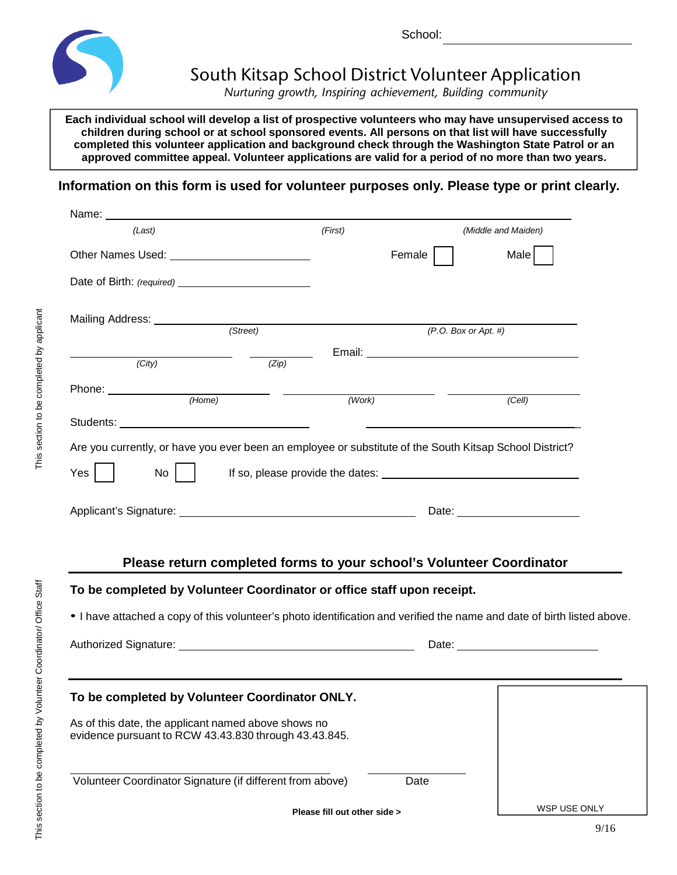

School:

## South Kitsap School District Volunteer Application

*Nurturing growth, Inspiring achievement, Building community*

**Each individual school will develop a list of prospective volunteers who may have unsupervised access to children during school or at school sponsored events. All persons on that list will have successfully completed this volunteer application and background check through the Washington State Patrol or an approved committee appeal. Volunteer applications are valid for a period of no more than two years.**

**Information on this form is used for volunteer purposes only. Please type or print clearly.**

| Name:                                                                                                                                                                                             |                                                                      |                                                         |                     |
|---------------------------------------------------------------------------------------------------------------------------------------------------------------------------------------------------|----------------------------------------------------------------------|---------------------------------------------------------|---------------------|
| (Last)                                                                                                                                                                                            | (First)                                                              |                                                         | (Middle and Maiden) |
|                                                                                                                                                                                                   |                                                                      | Female                                                  | Male                |
|                                                                                                                                                                                                   |                                                                      |                                                         |                     |
| Mailing Address: (Street) (Street) (Fig. 2.1)                                                                                                                                                     |                                                                      |                                                         |                     |
|                                                                                                                                                                                                   |                                                                      | (P. O. Box or Apt. #)                                   |                     |
| (City)                                                                                                                                                                                            | (Zip)                                                                |                                                         |                     |
|                                                                                                                                                                                                   |                                                                      | <u> 1989 - Johann Barnett, fransk politik (d. 1989)</u> |                     |
|                                                                                                                                                                                                   | (Work)                                                               |                                                         | (Cell)              |
|                                                                                                                                                                                                   |                                                                      |                                                         |                     |
| Are you currently, or have you ever been an employee or substitute of the South Kitsap School District?                                                                                           |                                                                      |                                                         |                     |
| $\mathsf{No}$    <br>Yes                                                                                                                                                                          |                                                                      |                                                         |                     |
|                                                                                                                                                                                                   |                                                                      |                                                         |                     |
|                                                                                                                                                                                                   |                                                                      |                                                         |                     |
| To be completed by Volunteer Coordinator or office staff upon receipt.<br>. I have attached a copy of this volunteer's photo identification and verified the name and date of birth listed above. | Please return completed forms to your school's Volunteer Coordinator |                                                         |                     |
|                                                                                                                                                                                                   |                                                                      |                                                         |                     |
|                                                                                                                                                                                                   |                                                                      |                                                         |                     |
| To be completed by Volunteer Coordinator ONLY.                                                                                                                                                    |                                                                      |                                                         |                     |
| As of this date, the applicant named above shows no<br>evidence pursuant to RCW 43.43.830 through 43.43.845.                                                                                      |                                                                      |                                                         |                     |
| Volunteer Coordinator Signature (if different from above)                                                                                                                                         |                                                                      | Date                                                    |                     |